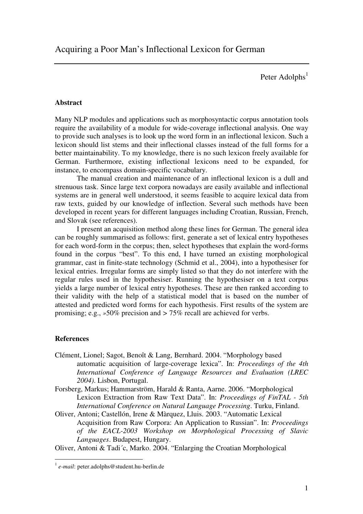Peter Adolphs<sup>1</sup>

## **Abstract**

Many NLP modules and applications such as morphosyntactic corpus annotation tools require the availability of a module for wide-coverage inflectional analysis. One way to provide such analyses is to look up the word form in an inflectional lexicon. Such a lexicon should list stems and their inflectional classes instead of the full forms for a better maintainability. To my knowledge, there is no such lexicon freely available for German. Furthermore, existing inflectional lexicons need to be expanded, for instance, to encompass domain-specific vocabulary.

The manual creation and maintenance of an inflectional lexicon is a dull and strenuous task. Since large text corpora nowadays are easily available and inflectional systems are in general well understood, it seems feasible to acquire lexical data from raw texts, guided by our knowledge of inflection. Several such methods have been developed in recent years for different languages including Croatian, Russian, French, and Slovak (see references).

I present an acquisition method along these lines for German. The general idea can be roughly summarised as follows: first, generate a set of lexical entry hypotheses for each word-form in the corpus; then, select hypotheses that explain the word-forms found in the corpus "best". To this end, I have turned an existing morphological grammar, cast in finite-state technology (Schmid et al., 2004), into a hypothesiser for lexical entries. Irregular forms are simply listed so that they do not interfere with the regular rules used in the hypothesiser. Running the hypothesiser on a text corpus yields a large number of lexical entry hypotheses. These are then ranked according to their validity with the help of a statistical model that is based on the number of attested and predicted word forms for each hypothesis. First results of the system are promising; e.g., *»*50% precision and *>* 75% recall are achieved for verbs.

## **References**

- Clément, Lionel; Sagot, Benoît & Lang, Bernhard. 2004. "Morphology based automatic acquisition of large-coverage lexica". In: *Proceedings of the 4th International Conference of Language Resources and Evaluation (LREC 2004)*. Lisbon, Portugal.
- Forsberg, Markus; Hammarström, Harald & Ranta, Aarne. 2006. "Morphological Lexicon Extraction from Raw Text Data". In: *Proceedings of FinTAL - 5th International Conference on Natural Language Processing*. Turku, Finland.
- Oliver, Antoni; Castellón, Irene & Màrquez, Lluis. 2003. "Automatic Lexical Acquisition from Raw Corpora: An Application to Russian". In: *Proceedings of the EACL-2003 Workshop on Morphological Processing of Slavic Languages*. Budapest, Hungary.

Oliver, Antoni & Tadi´c, Marko. 2004. "Enlarging the Croatian Morphological

<sup>1</sup> *e-mail*: peter.adolphs@student.hu-berlin.de